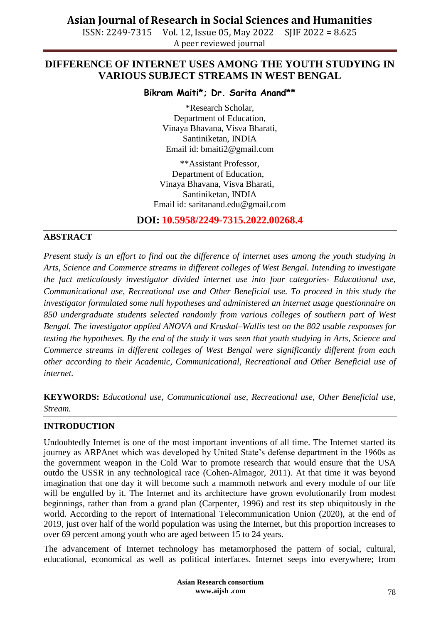ISSN: 2249-7315 Vol. 12, Issue 05, May 2022 SJIF 2022 = 8.625 A peer reviewed journal

## **DIFFERENCE OF INTERNET USES AMONG THE YOUTH STUDYING IN VARIOUS SUBJECT STREAMS IN WEST BENGAL**

**Bikram Maiti\*; Dr. Sarita Anand\*\***

\*Research Scholar, Department of Education, Vinaya Bhavana, Visva Bharati, Santiniketan, INDIA Email id: bmaiti2@gmail.com

\*\*Assistant Professor, Department of Education, Vinaya Bhavana, Visva Bharati, Santiniketan, INDIA Email id: [saritanand.edu@gmail.com](mailto:saritanand.edu@gmail.com)

## **DOI: 10.5958/2249-7315.2022.00268.4**

## **ABSTRACT**

*Present study is an effort to find out the difference of internet uses among the youth studying in Arts, Science and Commerce streams in different colleges of West Bengal. Intending to investigate the fact meticulously investigator divided internet use into four categories- Educational use, Communicational use, Recreational use and Other Beneficial use. To proceed in this study the investigator formulated some null hypotheses and administered an internet usage questionnaire on 850 undergraduate students selected randomly from various colleges of southern part of West Bengal. The investigator applied ANOVA and Kruskal–Wallis test on the 802 usable responses for testing the hypotheses. By the end of the study it was seen that youth studying in Arts, Science and Commerce streams in different colleges of West Bengal were significantly different from each other according to their Academic, Communicational, Recreational and Other Beneficial use of internet.*

**KEYWORDS:** *Educational use, Communicational use, Recreational use, Other Beneficial use, Stream.*

## **INTRODUCTION**

Undoubtedly Internet is one of the most important inventions of all time. The Internet started its journey as ARPAnet which was developed by United State's defense department in the 1960s as the government weapon in the Cold War to promote research that would ensure that the USA outdo the USSR in any technological race (Cohen-Almagor, 2011). At that time it was beyond imagination that one day it will become such a mammoth network and every module of our life will be engulfed by it. The Internet and its architecture have grown evolutionarily from modest beginnings, rather than from a grand plan (Carpenter, 1996) and rest its step ubiquitously in the world. According to the report of International Telecommunication Union (2020), at the end of 2019, just over half of the world population was using the Internet, but this proportion increases to over 69 percent among youth who are aged between 15 to 24 years.

The advancement of Internet technology has metamorphosed the pattern of social, cultural, educational, economical as well as political interfaces. Internet seeps into everywhere; from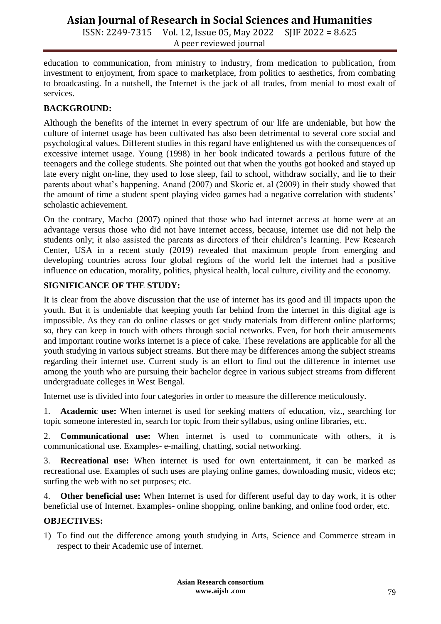ISSN: 2249-7315 Vol. 12, Issue 05, May 2022 SJIF 2022 = 8.625 A peer reviewed journal

education to communication, from ministry to industry, from medication to publication, from investment to enjoyment, from space to marketplace, from politics to aesthetics, from combating to broadcasting. In a nutshell, the Internet is the jack of all trades, from menial to most exalt of services.

## **BACKGROUND:**

Although the benefits of the internet in every spectrum of our life are undeniable, but how the culture of internet usage has been cultivated has also been detrimental to several core social and psychological values. Different studies in this regard have enlightened us with the consequences of excessive internet usage. Young (1998) in her book indicated towards a perilous future of the teenagers and the college students. She pointed out that when the youths got hooked and stayed up late every night on-line, they used to lose sleep, fail to school, withdraw socially, and lie to their parents about what's happening. Anand (2007) and Skoric et. al (2009) in their study showed that the amount of time a student spent playing video games had a negative correlation with students' scholastic achievement.

On the contrary, Macho (2007) opined that those who had internet access at home were at an advantage versus those who did not have internet access, because, internet use did not help the students only; it also assisted the parents as directors of their children's learning. Pew Research Center, USA in a recent study (2019) revealed that maximum people from emerging and developing countries across four global regions of the world felt the internet had a positive influence on education, morality, politics, physical health, local culture, civility and the economy.

## **SIGNIFICANCE OF THE STUDY:**

It is clear from the above discussion that the use of internet has its good and ill impacts upon the youth. But it is undeniable that keeping youth far behind from the internet in this digital age is impossible. As they can do online classes or get study materials from different online platforms; so, they can keep in touch with others through social networks. Even, for both their amusements and important routine works internet is a piece of cake. These revelations are applicable for all the youth studying in various subject streams. But there may be differences among the subject streams regarding their internet use. Current study is an effort to find out the difference in internet use among the youth who are pursuing their bachelor degree in various subject streams from different undergraduate colleges in West Bengal.

Internet use is divided into four categories in order to measure the difference meticulously.

1. **Academic use:** When internet is used for seeking matters of education, viz., searching for topic someone interested in, search for topic from their syllabus, using online libraries, etc.

2. **Communicational use:** When internet is used to communicate with others, it is communicational use. Examples- e-mailing, chatting, social networking.

3. **Recreational use:** When internet is used for own entertainment, it can be marked as recreational use. Examples of such uses are playing online games, downloading music, videos etc; surfing the web with no set purposes; etc.

4. **Other beneficial use:** When Internet is used for different useful day to day work, it is other beneficial use of Internet. Examples- online shopping, online banking, and online food order, etc.

## **OBJECTIVES:**

1) To find out the difference among youth studying in Arts, Science and Commerce stream in respect to their Academic use of internet.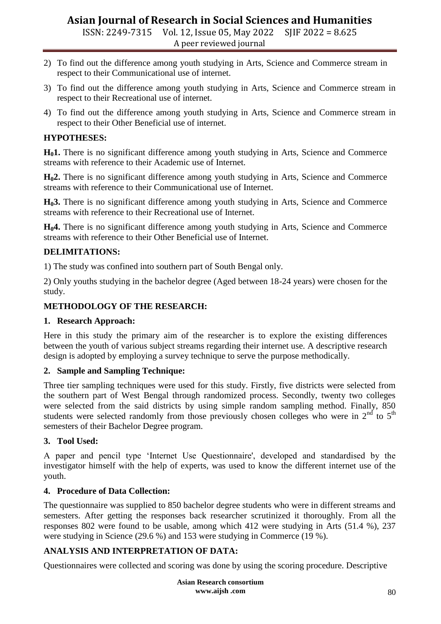ISSN: 2249-7315 Vol. 12, Issue 05, May 2022 SJIF 2022 = 8.625 A peer reviewed journal

- 2) To find out the difference among youth studying in Arts, Science and Commerce stream in respect to their Communicational use of internet.
- 3) To find out the difference among youth studying in Arts, Science and Commerce stream in respect to their Recreational use of internet.
- 4) To find out the difference among youth studying in Arts, Science and Commerce stream in respect to their Other Beneficial use of internet.

#### **HYPOTHESES:**

**H01.** There is no significant difference among youth studying in Arts, Science and Commerce streams with reference to their Academic use of Internet.

**H02.** There is no significant difference among youth studying in Arts, Science and Commerce streams with reference to their Communicational use of Internet.

**H03.** There is no significant difference among youth studying in Arts, Science and Commerce streams with reference to their Recreational use of Internet.

**H04.** There is no significant difference among youth studying in Arts, Science and Commerce streams with reference to their Other Beneficial use of Internet.

## **DELIMITATIONS:**

1) The study was confined into southern part of South Bengal only.

2) Only youths studying in the bachelor degree (Aged between 18-24 years) were chosen for the study.

## **METHODOLOGY OF THE RESEARCH:**

#### **1. Research Approach:**

Here in this study the primary aim of the researcher is to explore the existing differences between the youth of various subject streams regarding their internet use. A descriptive research design is adopted by employing a survey technique to serve the purpose methodically.

#### **2. Sample and Sampling Technique:**

Three tier sampling techniques were used for this study. Firstly, five districts were selected from the southern part of West Bengal through randomized process. Secondly, twenty two colleges were selected from the said districts by using simple random sampling method. Finally, 850 students were selected randomly from those previously chosen colleges who were in  $2<sup>nd</sup>$  to  $5<sup>th</sup>$ semesters of their Bachelor Degree program.

#### **3. Tool Used:**

A paper and pencil type 'Internet Use Questionnaire', developed and standardised by the investigator himself with the help of experts, was used to know the different internet use of the youth.

## **4. Procedure of Data Collection:**

The questionnaire was supplied to 850 bachelor degree students who were in different streams and semesters. After getting the responses back researcher scrutinized it thoroughly. From all the responses 802 were found to be usable, among which 412 were studying in Arts (51.4 %), 237 were studying in Science (29.6 %) and 153 were studying in Commerce (19 %).

## **ANALYSIS AND INTERPRETATION OF DATA:**

Questionnaires were collected and scoring was done by using the scoring procedure. Descriptive

**Asian Research consortium www.aijsh .com**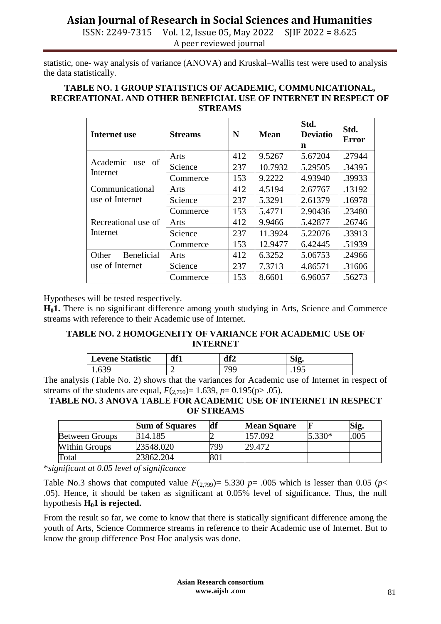ISSN: 2249-7315 Vol. 12, Issue 05, May 2022 SJIF 2022 = 8.625 A peer reviewed journal

statistic, one- way analysis of variance (ANOVA) and Kruskal–Wallis test were used to analysis the data statistically.

#### **TABLE NO. 1 GROUP STATISTICS OF ACADEMIC, COMMUNICATIONAL, RECREATIONAL AND OTHER BENEFICIAL USE OF INTERNET IN RESPECT OF STREAMS**

| Internet use        | <b>Streams</b> | N   | <b>Mean</b> | Std.<br><b>Deviatio</b><br>n | Std.<br>Error |
|---------------------|----------------|-----|-------------|------------------------------|---------------|
| Academic use of     | Arts           | 412 | 9.5267      | 5.67204                      | .27944        |
| Internet            | Science        | 237 | 10.7932     | 5.29505                      | .34395        |
|                     | Commerce       | 153 | 9.2222      | 4.93940                      | .39933        |
| Communicational     | Arts           | 412 | 4.5194      | 2.67767                      | .13192        |
| use of Internet     | Science        | 237 | 5.3291      | 2.61379                      | .16978        |
|                     | Commerce       | 153 | 5.4771      | 2.90436                      | .23480        |
| Recreational use of | Arts           | 412 | 9.9466      | 5.42877                      | .26746        |
| Internet            | Science        | 237 | 11.3924     | 5.22076                      | .33913        |
|                     | Commerce       | 153 | 12.9477     | 6.42445                      | .51939        |
| Beneficial<br>Other | Arts           | 412 | 6.3252      | 5.06753                      | .24966        |
| use of Internet     | Science        | 237 | 7.3713      | 4.86571                      | .31606        |
|                     | Commerce       | 153 | 8.6601      | 6.96057                      | .56273        |

Hypotheses will be tested respectively.

**H01.** There is no significant difference among youth studying in Arts, Science and Commerce streams with reference to their Academic use of Internet.

#### **TABLE NO. 2 HOMOGENEITY OF VARIANCE FOR ACADEMIC USE OF INTERNET**

| <b>Levene Statistic</b> | df1 | $\mathbf{H}^{\alpha}$<br>ulz | ~•<br>519                     |
|-------------------------|-----|------------------------------|-------------------------------|
| 1.VJ                    |     | 700                          | $\sim$ $\sim$<br>. <i>.</i> . |

The analysis (Table No. 2) shows that the variances for Academic use of Internet in respect of streams of the students are equal,  $F_{(2,799)} = 1.639$ ,  $p = 0.195(p > .05)$ .

#### **TABLE NO. 3 ANOVA TABLE FOR ACADEMIC USE OF INTERNET IN RESPECT OF STREAMS**

|                       | <b>Sum of Squares</b> | df  | <b>Mean Square</b> | Н       | Sig. |
|-----------------------|-----------------------|-----|--------------------|---------|------|
| <b>Between Groups</b> | 314.185               |     | 157.092            | l5 330* | 005  |
| <b>Within Groups</b>  | 23548.020             | 799 | 29.472             |         |      |
| Total                 | 23862.204             | 801 |                    |         |      |

\**significant at 0.05 level of significance*

Table No.3 shows that computed value  $F(2,799) = 5.330 \text{ p} = .005$  which is lesser than 0.05 ( $p <$ .05). Hence, it should be taken as significant at 0.05% level of significance. Thus, the null hypothesis **H01 is rejected.**

From the result so far, we come to know that there is statically significant difference among the youth of Arts, Science Commerce streams in reference to their Academic use of Internet. But to know the group difference Post Hoc analysis was done.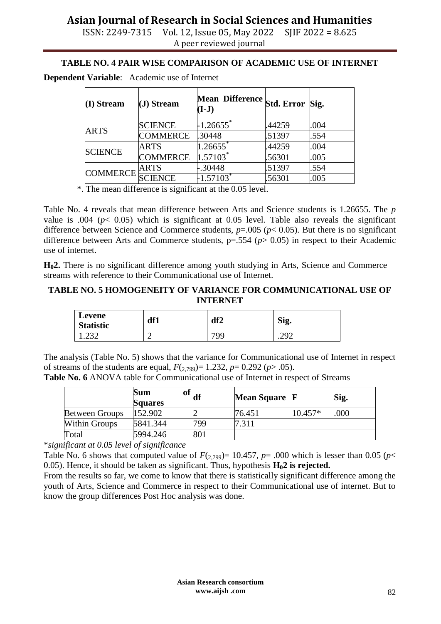ISSN: 2249-7315 Vol. 12, Issue 05, May 2022 SJIF 2022 = 8.625 A peer reviewed journal

#### **TABLE NO. 4 PAIR WISE COMPARISON OF ACADEMIC USE OF INTERNET**

| $(I)$ Stream    | $J)$ Stream     | Mean Difference Std. Error Sig.<br>$(I-J)$ |        |      |
|-----------------|-----------------|--------------------------------------------|--------|------|
| <b>ARTS</b>     | <b>SCIENCE</b>  | $-1.26655$ <sup>*</sup>                    | .44259 | .004 |
|                 | <b>COMMERCE</b> | .30448                                     | .51397 | .554 |
| <b>SCIENCE</b>  | <b>ARTS</b>     | $1.26655$ *                                | .44259 | .004 |
|                 | <b>COMMERCE</b> | $1.57103$ <sup>*</sup>                     | .56301 | .005 |
| <b>COMMERCE</b> | <b>ARTS</b>     | $-.30448$                                  | .51397 | .554 |
|                 | <b>SCIENCE</b>  | $-1.57103$                                 | .56301 | .005 |

**Dependent Variable**: Academic use of Internet

\*. The mean difference is significant at the 0.05 level.

Table No. 4 reveals that mean difference between Arts and Science students is 1.26655. The *p*  value is .004 ( $p$ < 0.05) which is significant at 0.05 level. Table also reveals the significant difference between Science and Commerce students,  $p=0.005$  ( $p<0.05$ ). But there is no significant difference between Arts and Commerce students, p=.554 (*p*> 0.05) in respect to their Academic use of internet.

**H02.** There is no significant difference among youth studying in Arts, Science and Commerce streams with reference to their Communicational use of Internet.

#### **TABLE NO. 5 HOMOGENEITY OF VARIANCE FOR COMMUNICATIONAL USE OF INTERNET**

| <b>Levene</b><br><b>Statistic</b> | df1 | df2 | Sig.          |
|-----------------------------------|-----|-----|---------------|
| $\cap$<br>1.4J <sub>4</sub>       |     | 799 | ാറാ<br>∟ ر ∟. |

The analysis (Table No. 5) shows that the variance for Communicational use of Internet in respect of streams of the students are equal,  $F_{(2,799)} = 1.232$ ,  $p = 0.292$  ( $p > .05$ ).

**Table No. 6** ANOVA table for Communicational use of Internet in respect of Streams

|                       | Sum<br><b>Squares</b> | $\left.{\bf 0}\right $ of $\left.{\bf d}{\bf f}\right $ | <b>Mean Square</b> |           | Sig. |
|-----------------------|-----------------------|---------------------------------------------------------|--------------------|-----------|------|
| <b>Between Groups</b> | 152.902               |                                                         | 76.451             | $10.457*$ | .000 |
| <b>Within Groups</b>  | 5841.344              | 799                                                     | 7.311              |           |      |
| Total                 | 5994.246              | 801                                                     |                    |           |      |

\**significant at 0.05 level of significance*

Table No. 6 shows that computed value of  $F_{(2,799)}= 10.457$ ,  $p=.000$  which is lesser than 0.05 ( $p<$ 0.05). Hence, it should be taken as significant. Thus, hypothesis **H02 is rejected.**

From the results so far, we come to know that there is statistically significant difference among the youth of Arts, Science and Commerce in respect to their Communicational use of internet. But to know the group differences Post Hoc analysis was done.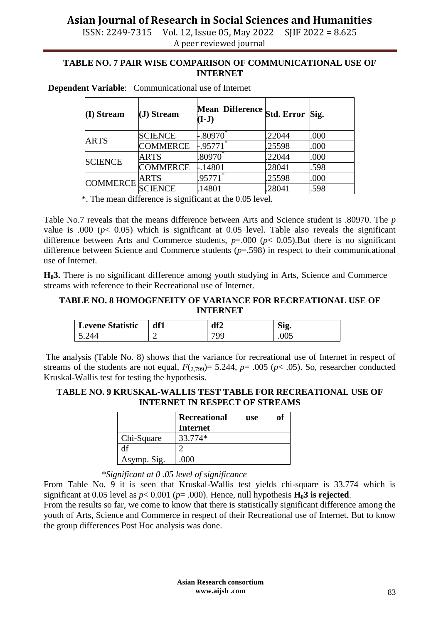ISSN: 2249-7315 Vol. 12, Issue 05, May 2022 SJIF 2022 = 8.625 A peer reviewed journal

#### **TABLE NO. 7 PAIR WISE COMPARISON OF COMMUNICATIONAL USE OF INTERNET**

| $(I)$ Stream   | $J)$ Stream     | Mean Difference Std. Error Sig.<br>$(I-J)$ |        |      |
|----------------|-----------------|--------------------------------------------|--------|------|
| <b>ARTS</b>    | <b>SCIENCE</b>  | $-.80970^{*}$                              | .22044 | .000 |
|                | <b>COMMERCE</b> | $-.95771$ <sup>*</sup>                     | .25598 | .000 |
| <b>SCIENCE</b> | <b>ARTS</b>     | $.80970*$                                  | .22044 | .000 |
|                | <b>COMMERCE</b> | $-.14801$                                  | .28041 | .598 |
| COMMERCE:      | <b>ARTS</b>     | .95771 $^*$                                | .25598 | .000 |
|                | <b>SCIENCE</b>  | .14801                                     | .28041 | .598 |

 **Dependent Variable**: Communicational use of Internet

\*. The mean difference is significant at the 0.05 level.

Table No.7 reveals that the means difference between Arts and Science student is .80970. The *p* value is .000 ( $p$ < 0.05) which is significant at 0.05 level. Table also reveals the significant difference between Arts and Commerce students,  $p=0.00$  ( $p< 0.05$ ). But there is no significant difference between Science and Commerce students (*p*=.598) in respect to their communicational use of Internet.

**H03.** There is no significant difference among youth studying in Arts, Science and Commerce streams with reference to their Recreational use of Internet.

#### **TABLE NO. 8 HOMOGENEITY OF VARIANCE FOR RECREATIONAL USE OF INTERNET**

| <b>Levene Statistic</b> | af1 | df2 | n.<br><b>S12</b> |
|-------------------------|-----|-----|------------------|
| $\Lambda\Lambda$        | ∼   | 700 | .005             |

The analysis (Table No. 8) shows that the variance for recreational use of Internet in respect of streams of the students are not equal,  $F_{(2,799)} = 5.244$ ,  $p = .005$  ( $p < .05$ ). So, researcher conducted Kruskal-Wallis test for testing the hypothesis.

#### **TABLE NO. 9 KRUSKAL-WALLIS TEST TABLE FOR RECREATIONAL USE OF INTERNET IN RESPECT OF STREAMS**

|             | <b>Recreational</b><br>Internet | use | of |
|-------------|---------------------------------|-----|----|
| Chi-Square  | 33.774*                         |     |    |
|             |                                 |     |    |
| Asymp. Sig. | (1)(1)                          |     |    |

 *\*Significant at 0 .05 level of significance*

From Table No. 9 it is seen that Kruskal-Wallis test yields chi-square is 33.774 which is significant at 0.05 level as *p*< 0.001 (*p*= .000). Hence, null hypothesis **H03 is rejected**.

From the results so far, we come to know that there is statistically significant difference among the youth of Arts, Science and Commerce in respect of their Recreational use of Internet. But to know the group differences Post Hoc analysis was done.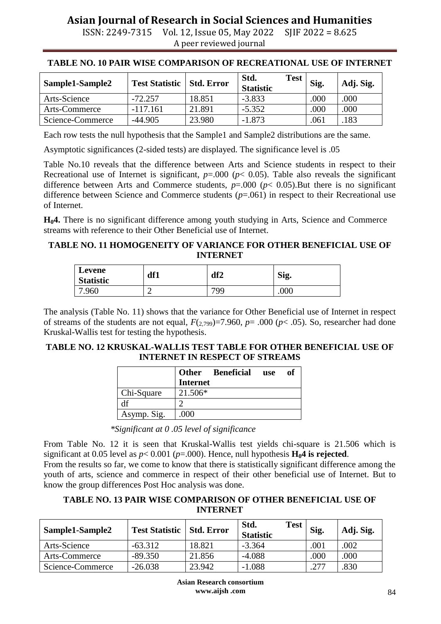ISSN: 2249-7315 Vol. 12, Issue 05, May 2022 SJIF 2022 = 8.625 A peer reviewed journal

| Sample1-Sample2  | <b>Test Statistic</b> | <b>Std. Error</b> | Std.<br><b>Test</b><br><b>Statistic</b> | Sig. | Adj. Sig. |
|------------------|-----------------------|-------------------|-----------------------------------------|------|-----------|
| Arts-Science     | $-72.257$             | 18.851            | $-3.833$                                | 000  | .000      |
| Arts-Commerce    | $-117.161$            | 21.891            | $-5.352$                                | 000  | .000      |
| Science-Commerce | -44.905               | 23.980            | $-1.873$                                | .061 | 183       |

## **TABLE NO. 10 PAIR WISE COMPARISON OF RECREATIONAL USE OF INTERNET**

Each row tests the null hypothesis that the Sample1 and Sample2 distributions are the same.

Asymptotic significances (2-sided tests) are displayed. The significance level is .05

Table No.10 reveals that the difference between Arts and Science students in respect to their Recreational use of Internet is significant,  $p=0.00$  ( $p< 0.05$ ). Table also reveals the significant difference between Arts and Commerce students,  $p=0.00$  ( $p< 0.05$ ). But there is no significant difference between Science and Commerce students ( $p=0.061$ ) in respect to their Recreational use of Internet.

**H04.** There is no significant difference among youth studying in Arts, Science and Commerce streams with reference to their Other Beneficial use of Internet.

#### **TABLE NO. 11 HOMOGENEITY OF VARIANCE FOR OTHER BENEFICIAL USE OF INTERNET**

| Levene<br><b>Statistic</b> | df1 | df2 | Sig. |
|----------------------------|-----|-----|------|
| 7.960                      |     | 700 | .000 |

The analysis (Table No. 11) shows that the variance for Other Beneficial use of Internet in respect of streams of the students are not equal,  $F_{(2,799)}=7.960$ ,  $p=.000$  ( $p<.05$ ). So, researcher had done Kruskal-Wallis test for testing the hypothesis.

#### **TABLE NO. 12 KRUSKAL-WALLIS TEST TABLE FOR OTHER BENEFICIAL USE OF INTERNET IN RESPECT OF STREAMS**

|             |                 | Other Beneficial | use | of |
|-------------|-----------------|------------------|-----|----|
|             | <b>Internet</b> |                  |     |    |
| Chi-Square  | 21.506*         |                  |     |    |
| df          |                 |                  |     |    |
| Asymp. Sig. | .000            |                  |     |    |

 *\*Significant at 0 .05 level of significance*

From Table No. 12 it is seen that Kruskal-Wallis test yields chi-square is 21.506 which is significant at 0.05 level as *p*< 0.001 (*p*=.000). Hence, null hypothesis **H04 is rejected**.

From the results so far, we come to know that there is statistically significant difference among the youth of arts, science and commerce in respect of their other beneficial use of Internet. But to know the group differences Post Hoc analysis was done.

#### **TABLE NO. 13 PAIR WISE COMPARISON OF OTHER BENEFICIAL USE OF INTERNET**

| Sample1-Sample2  | <b>Test Statistic</b> | <b>Std. Error</b> | <b>Test</b><br>Std.<br><b>Statistic</b> | Sig. | Adj. Sig. |
|------------------|-----------------------|-------------------|-----------------------------------------|------|-----------|
| Arts-Science     | $-63.312$             | 18.821            | $-3.364$                                | .001 | .002      |
| Arts-Commerce    | $-89.350$             | 21.856            | $-4.088$                                | .000 | .000      |
| Science-Commerce | $-26.038$             | 23.942            | $-1.088$                                | つワワ  | 830       |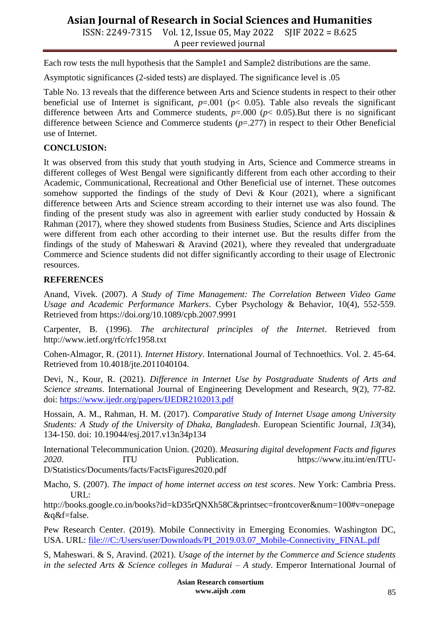ISSN: 2249-7315 Vol. 12, Issue 05, May 2022 SJIF 2022 = 8.625 A peer reviewed journal

Each row tests the null hypothesis that the Sample1 and Sample2 distributions are the same.

Asymptotic significances (2-sided tests) are displayed. The significance level is .05

Table No. 13 reveals that the difference between Arts and Science students in respect to their other beneficial use of Internet is significant,  $p=0.001$  ( $p< 0.05$ ). Table also reveals the significant difference between Arts and Commerce students,  $p=0.00$  ( $p< 0.05$ ). But there is no significant difference between Science and Commerce students (*p*=.277) in respect to their Other Beneficial use of Internet.

#### **CONCLUSION:**

It was observed from this study that youth studying in Arts, Science and Commerce streams in different colleges of West Bengal were significantly different from each other according to their Academic, Communicational, Recreational and Other Beneficial use of internet. These outcomes somehow supported the findings of the study of Devi & Kour (2021), where a significant difference between Arts and Science stream according to their internet use was also found. The finding of the present study was also in agreement with earlier study conducted by Hossain  $\&$ Rahman (2017), where they showed students from Business Studies, Science and Arts disciplines were different from each other according to their internet use. But the results differ from the findings of the study of Maheswari & Aravind (2021), where they revealed that undergraduate Commerce and Science students did not differ significantly according to their usage of Electronic resources.

#### **REFERENCES**

Anand, Vivek. (2007). *A Study of Time Management: The Correlation Between Video Game Usage and Academic Performance Markers*. Cyber Psychology & Behavior, 10(4), 552-559. Retrieved from https://doi.org/10.1089/cpb.2007.9991

Carpenter, B. (1996). *The architectural principles of the Internet*. Retrieved from http://www.ietf.org/rfc/rfc1958.txt

Cohen-Almagor, R. (2011). *Internet History*. International Journal of Technoethics. Vol. 2. 45-64. Retrieved from 10.4018/jte.2011040104.

Devi, N., Kour, R. (2021). *Difference in Internet Use by Postgraduate Students of Arts and Science streams*. International Journal of Engineering Development and Research, *9*(2), 77-82. doi:<https://www.ijedr.org/papers/IJEDR2102013.pdf>

Hossain, A. M., Rahman, H. M. (2017). *Comparative Study of Internet Usage among University Students: A Study of the University of Dhaka, Bangladesh*. European Scientific Journal*, 13*(34), 134-150. doi: 10.19044/esj.2017.v13n34p134

International Telecommunication Union. (2020). *Measuring digital development Facts and figures 2020*. ITU Publication. https://www.itu.int/en/ITU-D/Statistics/Documents/facts/FactsFigures2020.pdf

Macho, S. (2007). *The impact of home internet access on test scores*. New York: Cambria Press. URL:

http://books.google.co.in/books?id=kD35rQNXh58C&printsec=frontcover&num=100#v=onepage &q&f=false.

Pew Research Center. (2019). Mobile Connectivity in Emerging Economies. Washington DC, USA. URL: [file:///C:/Users/user/Downloads/PI\\_2019.03.07\\_Mobile-Connectivity\\_FINAL.pdf](file:///C:\Users\user\Downloads\PI_2019.03.07_Mobile-Connectivity_FINAL.pdf)

S, Maheswari. & S, Aravind. (2021). *Usage of the internet by the Commerce and Science students in the selected Arts & Science colleges in Madurai – A study*. Emperor International Journal of